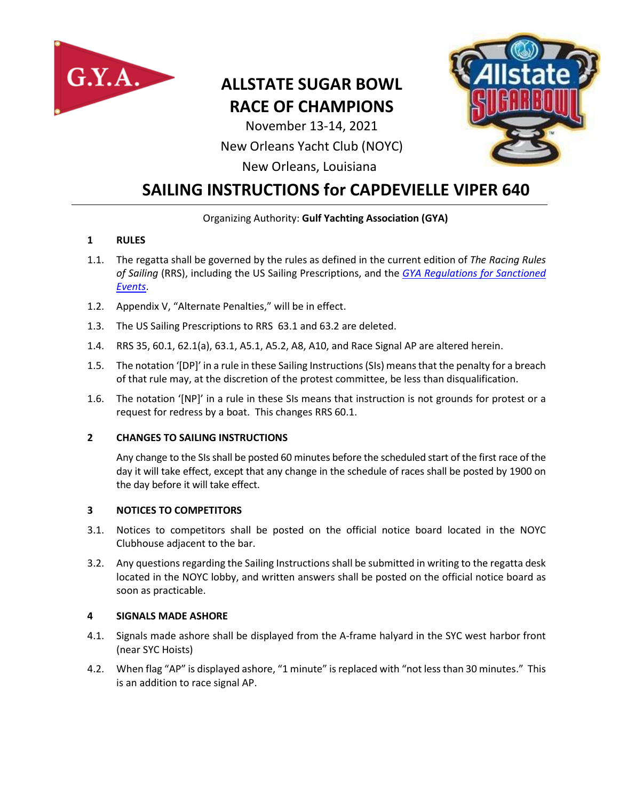

# **ALLSTATE SUGAR BOWL RACE OF CHAMPIONS**

November 13-14, 2021

### New Orleans Yacht Club (NOYC)



New Orleans, Louisiana

## **SAILING INSTRUCTIONS for CAPDEVIELLE VIPER 640**

#### Organizing Authority: **Gulf Yachting Association (GYA)**

#### **1 RULES**

- 1.1. The regatta shall be governed by the rules as defined in the current edition of *The Racing Rules of Sailing* (RRS), including the US Sailing Prescriptions, and the *[GYA Regulations for Sanctioned](http://www.gya.org/documents/bylawsregs/racingregs.pdf)  [Events](http://www.gya.org/documents/bylawsregs/racingregs.pdf)*.
- 1.2. Appendix V, "Alternate Penalties," will be in effect.
- 1.3. The US Sailing Prescriptions to RRS 63.1 and 63.2 are deleted.
- 1.4. RRS 35, 60.1, 62.1(a), 63.1, A5.1, A5.2, A8, A10, and Race Signal AP are altered herein.
- 1.5. The notation '[DP]' in a rule in these Sailing Instructions (SIs) means that the penalty for a breach of that rule may, at the discretion of the protest committee, be less than disqualification.
- 1.6. The notation '[NP]' in a rule in these SIs means that instruction is not grounds for protest or a request for redress by a boat. This changes RRS 60.1.

#### **2 CHANGES TO SAILING INSTRUCTIONS**

Any change to the SIs shall be posted 60 minutes before the scheduled start of the first race of the day it will take effect, except that any change in the schedule of races shall be posted by 1900 on the day before it will take effect.

#### **3 NOTICES TO COMPETITORS**

- 3.1. Notices to competitors shall be posted on the official notice board located in the NOYC Clubhouse adjacent to the bar.
- 3.2. Any questions regarding the Sailing Instructions shall be submitted in writing to the regatta desk located in the NOYC lobby, and written answers shall be posted on the official notice board as soon as practicable.

#### **4 SIGNALS MADE ASHORE**

- 4.1. Signals made ashore shall be displayed from the A-frame halyard in the SYC west harbor front (near SYC Hoists)
- 4.2. When flag "AP" is displayed ashore, "1 minute" is replaced with "not less than 30 minutes." This is an addition to race signal AP.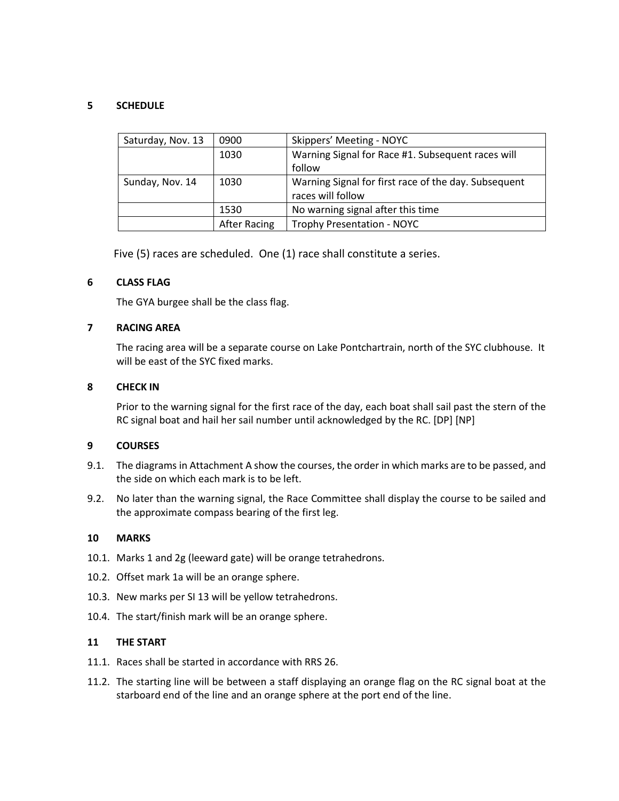#### **5 SCHEDULE**

| Saturday, Nov. 13 | 0900         | Skippers' Meeting - NOYC                             |
|-------------------|--------------|------------------------------------------------------|
|                   | 1030         | Warning Signal for Race #1. Subsequent races will    |
|                   |              | follow                                               |
| Sunday, Nov. 14   | 1030         | Warning Signal for first race of the day. Subsequent |
|                   |              | races will follow                                    |
|                   | 1530         | No warning signal after this time                    |
|                   | After Racing | <b>Trophy Presentation - NOYC</b>                    |

Five (5) races are scheduled. One (1) race shall constitute a series.

#### **6 CLASS FLAG**

The GYA burgee shall be the class flag.

#### **7 RACING AREA**

The racing area will be a separate course on Lake Pontchartrain, north of the SYC clubhouse. It will be east of the SYC fixed marks.

#### **8 CHECK IN**

Prior to the warning signal for the first race of the day, each boat shall sail past the stern of the RC signal boat and hail her sail number until acknowledged by the RC. [DP] [NP]

#### **9 COURSES**

- 9.1. The diagrams in Attachment A show the courses, the order in which marks are to be passed, and the side on which each mark is to be left.
- 9.2. No later than the warning signal, the Race Committee shall display the course to be sailed and the approximate compass bearing of the first leg.

#### **10 MARKS**

- 10.1. Marks 1 and 2g (leeward gate) will be orange tetrahedrons.
- 10.2. Offset mark 1a will be an orange sphere.
- 10.3. New marks per SI 13 will be yellow tetrahedrons.
- 10.4. The start/finish mark will be an orange sphere.

#### **11 THE START**

- 11.1. Races shall be started in accordance with RRS 26.
- 11.2. The starting line will be between a staff displaying an orange flag on the RC signal boat at the starboard end of the line and an orange sphere at the port end of the line.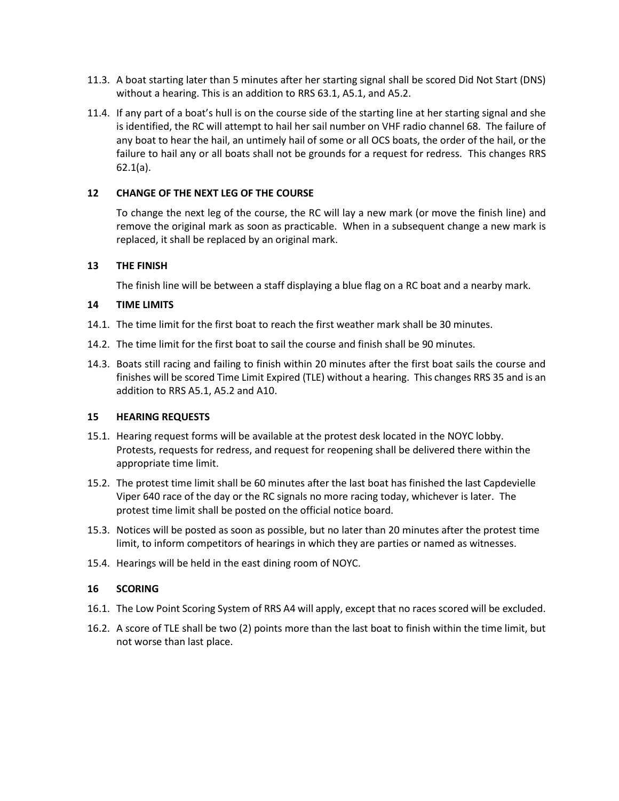- 11.3. A boat starting later than 5 minutes after her starting signal shall be scored Did Not Start (DNS) without a hearing. This is an addition to RRS 63.1, A5.1, and A5.2.
- 11.4. If any part of a boat's hull is on the course side of the starting line at her starting signal and she is identified, the RC will attempt to hail her sail number on VHF radio channel 68. The failure of any boat to hear the hail, an untimely hail of some or all OCS boats, the order of the hail, or the failure to hail any or all boats shall not be grounds for a request for redress. This changes RRS 62.1(a).

#### **12 CHANGE OF THE NEXT LEG OF THE COURSE**

To change the next leg of the course, the RC will lay a new mark (or move the finish line) and remove the original mark as soon as practicable. When in a subsequent change a new mark is replaced, it shall be replaced by an original mark.

#### **13 THE FINISH**

The finish line will be between a staff displaying a blue flag on a RC boat and a nearby mark.

#### **14 TIME LIMITS**

- 14.1. The time limit for the first boat to reach the first weather mark shall be 30 minutes.
- 14.2. The time limit for the first boat to sail the course and finish shall be 90 minutes.
- 14.3. Boats still racing and failing to finish within 20 minutes after the first boat sails the course and finishes will be scored Time Limit Expired (TLE) without a hearing. This changes RRS 35 and is an addition to RRS A5.1, A5.2 and A10.

#### **15 HEARING REQUESTS**

- 15.1. Hearing request forms will be available at the protest desk located in the NOYC lobby. Protests, requests for redress, and request for reopening shall be delivered there within the appropriate time limit.
- 15.2. The protest time limit shall be 60 minutes after the last boat has finished the last Capdevielle Viper 640 race of the day or the RC signals no more racing today, whichever is later. The protest time limit shall be posted on the official notice board.
- 15.3. Notices will be posted as soon as possible, but no later than 20 minutes after the protest time limit, to inform competitors of hearings in which they are parties or named as witnesses.
- 15.4. Hearings will be held in the east dining room of NOYC.

#### **16 SCORING**

- 16.1. The Low Point Scoring System of RRS A4 will apply, except that no races scored will be excluded.
- 16.2. A score of TLE shall be two (2) points more than the last boat to finish within the time limit, but not worse than last place.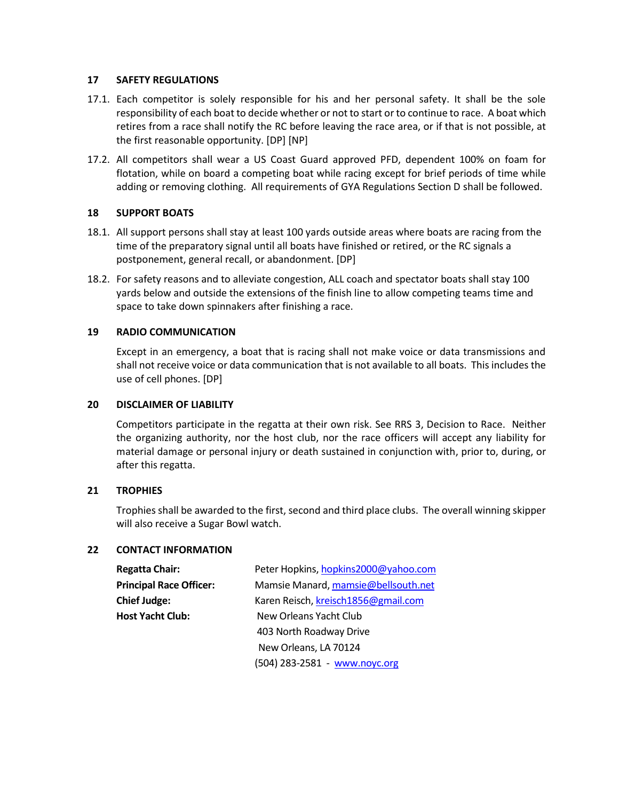#### **17 SAFETY REGULATIONS**

- 17.1. Each competitor is solely responsible for his and her personal safety. It shall be the sole responsibility of each boat to decide whether or not to start or to continue to race. A boat which retires from a race shall notify the RC before leaving the race area, or if that is not possible, at the first reasonable opportunity. [DP] [NP]
- 17.2. All competitors shall wear a US Coast Guard approved PFD, dependent 100% on foam for flotation, while on board a competing boat while racing except for brief periods of time while adding or removing clothing. All requirements of GYA Regulations Section D shall be followed.

#### **18 SUPPORT BOATS**

- 18.1. All support persons shall stay at least 100 yards outside areas where boats are racing from the time of the preparatory signal until all boats have finished or retired, or the RC signals a postponement, general recall, or abandonment. [DP]
- 18.2. For safety reasons and to alleviate congestion, ALL coach and spectator boats shall stay 100 yards below and outside the extensions of the finish line to allow competing teams time and space to take down spinnakers after finishing a race.

#### **19 RADIO COMMUNICATION**

Except in an emergency, a boat that is racing shall not make voice or data transmissions and shall not receive voice or data communication that is not available to all boats. This includes the use of cell phones. [DP]

#### **20 DISCLAIMER OF LIABILITY**

Competitors participate in the regatta at their own risk. See RRS 3, Decision to Race. Neither the organizing authority, nor the host club, nor the race officers will accept any liability for material damage or personal injury or death sustained in conjunction with, prior to, during, or after this regatta.

#### **21 TROPHIES**

Trophies shall be awarded to the first, second and third place clubs. The overall winning skipper will also receive a Sugar Bowl watch.

#### **22 CONTACT INFORMATION**

| <b>Regatta Chair:</b>          | Peter Hopkins, hopkins2000@yahoo.com |
|--------------------------------|--------------------------------------|
| <b>Principal Race Officer:</b> | Mamsie Manard, mamsie@bellsouth.net  |
| <b>Chief Judge:</b>            | Karen Reisch, kreisch1856@gmail.com  |
| <b>Host Yacht Club:</b>        | New Orleans Yacht Club               |
|                                | 403 North Roadway Drive              |
|                                | New Orleans, LA 70124                |
|                                | (504) 283-2581 - www.noyc.org        |